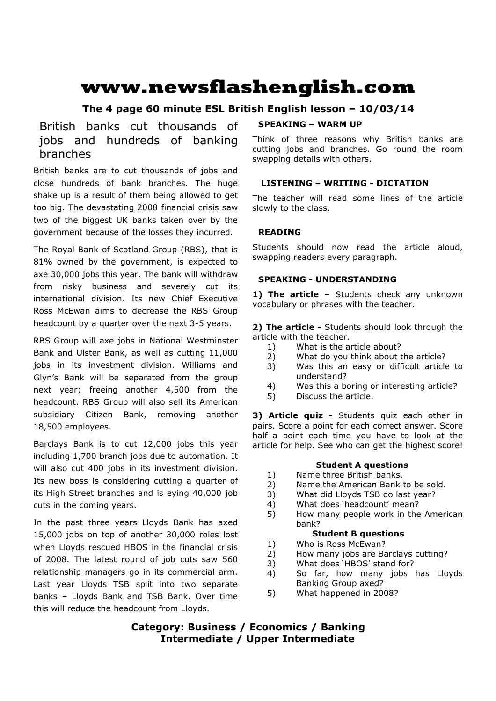# **www.newsflashenglish.com**

## **The 4 page 60 minute ESL British English lesson – 10/03/14**

# British banks cut thousands of jobs and hundreds of banking branches

British banks are to cut thousands of jobs and close hundreds of bank branches. The huge shake up is a result of them being allowed to get too big. The devastating 2008 financial crisis saw two of the biggest UK banks taken over by the government because of the losses they incurred.

The Royal Bank of Scotland Group (RBS), that is 81% owned by the government, is expected to axe 30,000 jobs this year. The bank will withdraw from risky business and severely cut its international division. Its new Chief Executive Ross McEwan aims to decrease the RBS Group headcount by a quarter over the next 3-5 years.

RBS Group will axe jobs in National Westminster Bank and Ulster Bank, as well as cutting 11,000 jobs in its investment division. Williams and Glyn's Bank will be separated from the group next year; freeing another 4,500 from the headcount. RBS Group will also sell its American subsidiary Citizen Bank, removing another 18,500 employees.

Barclays Bank is to cut 12,000 jobs this year including 1,700 branch jobs due to automation. It will also cut 400 jobs in its investment division. Its new boss is considering cutting a quarter of its High Street branches and is eying 40,000 job cuts in the coming years.

In the past three years Lloyds Bank has axed 15,000 jobs on top of another 30,000 roles lost when Lloyds rescued HBOS in the financial crisis of 2008. The latest round of job cuts saw 560 relationship managers go in its commercial arm. Last year Lloyds TSB split into two separate banks – Lloyds Bank and TSB Bank. Over time this will reduce the headcount from Lloyds.

#### **SPEAKING – WARM UP**

Think of three reasons why British banks are cutting jobs and branches. Go round the room swapping details with others.

### **LISTENING – WRITING - DICTATION**

The teacher will read some lines of the article slowly to the class.

### **READING**

Students should now read the article aloud, swapping readers every paragraph.

### **SPEAKING - UNDERSTANDING**

1) The article - Students check any unknown vocabulary or phrases with the teacher.

**2) The article -** Students should look through the article with the teacher.

- 1) What is the article about?
- 2) What do you think about the article?
- 3) Was this an easy or difficult article to understand?
- 4) Was this a boring or interesting article?
- 5) Discuss the article.

**3) Article quiz -** Students quiz each other in pairs. Score a point for each correct answer. Score half a point each time you have to look at the article for help. See who can get the highest score!

#### **Student A questions**

- 1) Name three British banks.
- 2) Name the American Bank to be sold.
- 3) What did Lloyds TSB do last year?
- 4) What does 'headcount' mean?
- 5) How many people work in the American bank?

#### **Student B questions**

- 1) Who is Ross McEwan?
- 2) How many jobs are Barclays cutting?
- 3) What does 'HBOS' stand for?
- 4) So far, how many jobs has Lloyds Banking Group axed?
- 5) What happened in 2008?

# **Category: Business / Economics / Banking Intermediate / Upper Intermediate**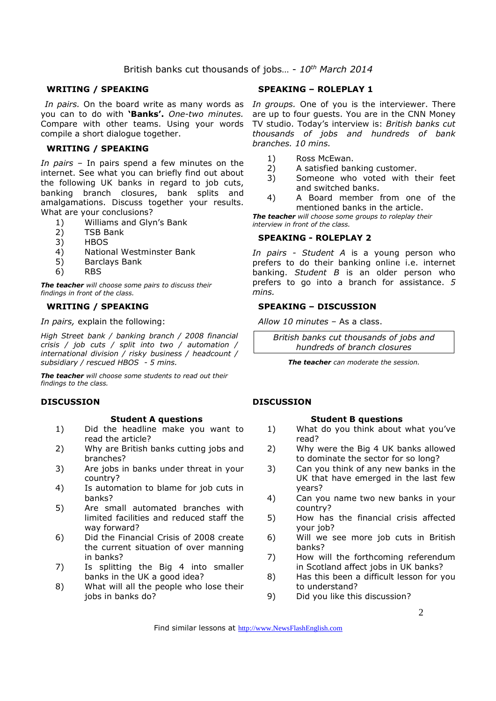### British banks cut thousands of jobs… - *10th March 2014*

#### **WRITING / SPEAKING**

you can to do with **'Banks'.** *One-two minutes.*  Compare with other teams. Using your words compile a short dialogue together.

#### **WRITING / SPEAKING**

*In pairs* – In pairs spend a few minutes on the internet. See what you can briefly find out about the following UK banks in regard to job cuts, banking branch closures, bank splits and amalgamations. Discuss together your results. What are your conclusions?

- 1) Williams and Glyn's Bank
- 2) TSB Bank<br>3) HBOS
- 3) HBOS
- 4) National Westminster Bank
- 5) Barclays Bank
- 6) RBS

*The teacher will choose some pairs to discuss their findings in front of the class.* 

#### **WRITING / SPEAKING**

*In pairs,* explain the following:

*High Street bank / banking branch / 2008 financial crisis / job cuts / split into two / automation / international division / risky business / headcount / subsidiary / rescued HBOS - 5 mins.*

*The teacher will choose some students to read out their findings to the class.* 

#### **DISCUSSION**

#### **Student A questions**

- 1) Did the headline make you want to read the article?
- 2) Why are British banks cutting jobs and branches?
- 3) Are jobs in banks under threat in your country?
- 4) Is automation to blame for job cuts in banks?
- 5) Are small automated branches with limited facilities and reduced staff the way forward?
- 6) Did the Financial Crisis of 2008 create the current situation of over manning in banks?
- 7) Is splitting the Big 4 into smaller banks in the UK a good idea?
- 8) What will all the people who lose their jobs in banks do?

#### **SPEAKING – ROLEPLAY 1**

In pairs. On the board write as many words as In groups. One of you is the interviewer. There are up to four guests. You are in the CNN Money TV studio. Today's interview is: *British banks cut thousands of jobs and hundreds of bank branches. 10 mins.* 

- 1) Ross McEwan.
- 2) A satisfied banking customer.
- 3) Someone who voted with their feet and switched banks.
- 4) A Board member from one of the mentioned banks in the article.

*The teacher will choose some groups to roleplay their interview in front of the class.* 

#### **SPEAKING - ROLEPLAY 2**

*In pairs - Student A* is a young person who prefers to do their banking online i.e. internet banking. *Student B* is an older person who prefers to go into a branch for assistance. *5 mins.* 

#### **SPEAKING – DISCUSSION**

*Allow 10 minutes* – As a class.

*British banks cut thousands of jobs and hundreds of branch closures*

*The teacher can moderate the session.*

#### **DISCUSSION**

#### **Student B questions**

- 1) What do you think about what you've read?
- 2) Why were the Big 4 UK banks allowed to dominate the sector for so long?
- 3) Can you think of any new banks in the UK that have emerged in the last few years?
- 4) Can you name two new banks in your country?
- 5) How has the financial crisis affected your job?
- 6) Will we see more job cuts in British banks?
- 7) How will the forthcoming referendum in Scotland affect jobs in UK banks?
- 8) Has this been a difficult lesson for you to understand?
- 9) Did you like this discussion?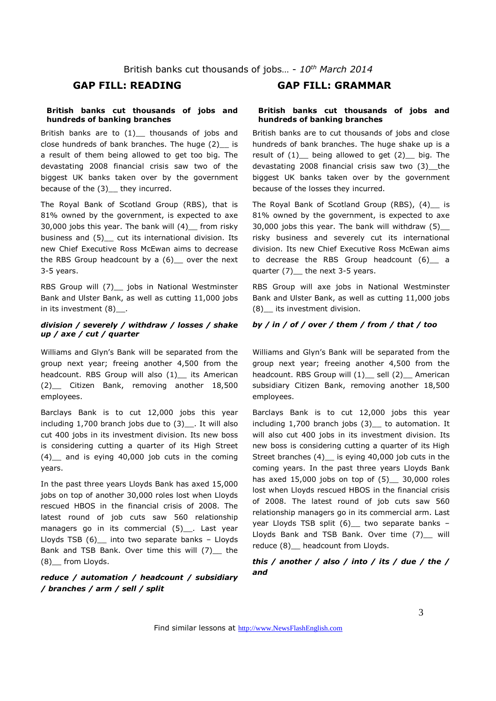#### **British banks cut thousands of jobs and hundreds of banking branches**

British banks are to  $(1)$ <sub>--</sub> thousands of jobs and close hundreds of bank branches. The huge (2) is a result of them being allowed to get too big. The devastating 2008 financial crisis saw two of the biggest UK banks taken over by the government because of the (3) they incurred.

The Royal Bank of Scotland Group (RBS), that is 81% owned by the government, is expected to axe 30,000 jobs this year. The bank will (4)\_\_ from risky business and (5) cut its international division. Its new Chief Executive Ross McEwan aims to decrease the RBS Group headcount by a  $(6)$  over the next 3-5 years.

RBS Group will (7) jobs in National Westminster Bank and Ulster Bank, as well as cutting 11,000 jobs in its investment (8) .

#### *division / severely / withdraw / losses / shake up / axe / cut / quarter*

Williams and Glyn's Bank will be separated from the group next year; freeing another 4,500 from the headcount. RBS Group will also (1)\_ its American (2)\_\_ Citizen Bank, removing another 18,500 employees.

Barclays Bank is to cut 12,000 jobs this year including 1,700 branch jobs due to (3)\_\_. It will also cut 400 jobs in its investment division. Its new boss is considering cutting a quarter of its High Street (4)\_\_ and is eying 40,000 job cuts in the coming years.

In the past three years Lloyds Bank has axed 15,000 jobs on top of another 30,000 roles lost when Lloyds rescued HBOS in the financial crisis of 2008. The latest round of job cuts saw 560 relationship managers go in its commercial (5)\_\_\_. Last year Lloyds TSB  $(6)$  into two separate banks – Lloyds Bank and TSB Bank. Over time this will (7)\_ the (8)\_\_ from Lloyds.

*reduce / automation / headcount / subsidiary / branches / arm / sell / split* 

### **GAP FILL: READING GAP FILL: GRAMMAR**

#### **British banks cut thousands of jobs and hundreds of banking branches**

British banks are to cut thousands of jobs and close hundreds of bank branches. The huge shake up is a result of  $(1)$  being allowed to get  $(2)$  big. The devastating 2008 financial crisis saw two (3) the biggest UK banks taken over by the government because of the losses they incurred.

The Royal Bank of Scotland Group (RBS),  $(4)$  is 81% owned by the government, is expected to axe 30,000 jobs this year. The bank will withdraw (5)\_\_ risky business and severely cut its international division. Its new Chief Executive Ross McEwan aims to decrease the RBS Group headcount (6) a quarter (7) the next 3-5 years.

RBS Group will axe jobs in National Westminster Bank and Ulster Bank, as well as cutting 11,000 jobs (8)\_\_ its investment division.

#### *by / in / of / over / them / from / that / too*

Williams and Glyn's Bank will be separated from the group next year; freeing another 4,500 from the headcount. RBS Group will  $(1)$  sell  $(2)$  American subsidiary Citizen Bank, removing another 18,500 employees.

Barclays Bank is to cut 12,000 jobs this year including 1,700 branch jobs (3)\_\_ to automation. It will also cut 400 jobs in its investment division. Its new boss is considering cutting a quarter of its High Street branches (4)\_\_ is eying 40,000 job cuts in the coming years. In the past three years Lloyds Bank has axed  $15,000$  jobs on top of  $(5)$  30,000 roles lost when Lloyds rescued HBOS in the financial crisis of 2008. The latest round of job cuts saw 560 relationship managers go in its commercial arm. Last year Lloyds TSB split (6) two separate banks -Lloyds Bank and TSB Bank. Over time (7) will reduce (8) headcount from Lloyds.

*this / another / also / into / its / due / the / and*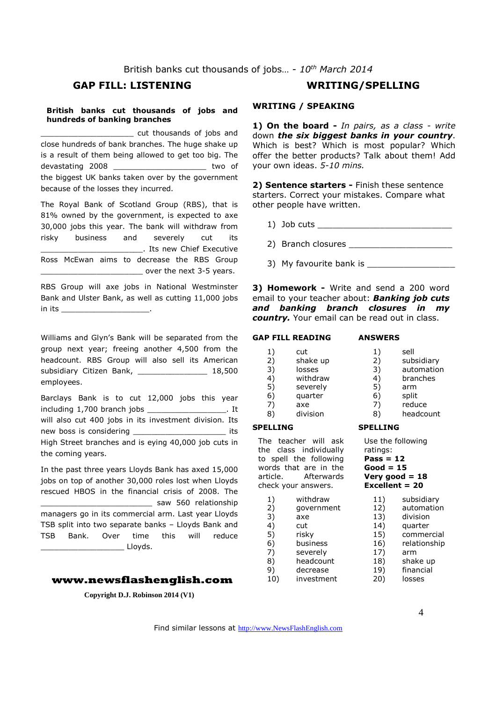British banks cut thousands of jobs… - *10th March 2014*

### **GAP FILL: LISTENING WRITING/SPELLING**

#### **British banks cut thousands of jobs and hundreds of banking branches**

\_\_\_\_\_\_\_\_\_\_\_\_\_\_\_\_\_\_\_\_ cut thousands of jobs and close hundreds of bank branches. The huge shake up is a result of them being allowed to get too big. The devastating 2008 \_\_\_\_\_\_\_\_\_\_\_\_\_\_\_\_\_\_\_\_ two of the biggest UK banks taken over by the government because of the losses they incurred.

The Royal Bank of Scotland Group (RBS), that is 81% owned by the government, is expected to axe 30,000 jobs this year. The bank will withdraw from risky business and severely cut its \_\_\_\_\_\_\_\_\_\_\_\_\_\_\_\_\_\_\_\_\_\_. Its new Chief Executive Ross McEwan aims to decrease the RBS Group over the next 3-5 years.

RBS Group will axe jobs in National Westminster Bank and Ulster Bank, as well as cutting 11,000 jobs in its \_\_\_\_\_\_\_\_\_\_\_\_\_\_\_\_\_\_\_.

Williams and Glyn's Bank will be separated from the group next year; freeing another 4,500 from the headcount. RBS Group will also sell its American subsidiary Citizen Bank, 18,500 employees.

Barclays Bank is to cut 12,000 jobs this year including 1,700 branch jobs \_\_\_\_\_\_\_\_\_\_\_\_\_\_\_\_\_. It will also cut 400 jobs in its investment division. Its new boss is considering \_\_\_\_\_\_\_\_\_\_\_\_\_\_\_\_\_\_\_\_\_\_\_\_\_\_\_ its High Street branches and is eying 40,000 job cuts in the coming years.

In the past three years Lloyds Bank has axed 15,000 jobs on top of another 30,000 roles lost when Lloyds rescued HBOS in the financial crisis of 2008. The \_\_\_\_\_\_\_\_\_\_\_\_\_\_\_\_\_\_\_\_\_\_\_\_ saw 560 relationship managers go in its commercial arm. Last year Lloyds TSB split into two separate banks – Lloyds Bank and TSB Bank. Over time this will reduce \_\_\_\_\_\_\_\_\_\_\_\_\_\_\_\_\_\_ Lloyds.

#### **www.newsflashenglish.com**

**Copyright D.J. Robinson 2014 (V1)** 

**WRITING / SPEAKING** 

**1) On the board -** *In pairs, as a class - write* down *the six biggest banks in your country*. Which is best? Which is most popular? Which offer the better products? Talk about them! Add your own ideas. *5-10 mins.* 

**2) Sentence starters -** Finish these sentence starters. Correct your mistakes. Compare what other people have written.

- 1) Job cuts
- 2) Branch closures \_\_\_\_\_\_\_\_\_\_\_\_\_\_\_\_\_\_\_\_

3) My favourite bank is

**3) Homework -** Write and send a 200 word email to your teacher about: *Banking job cuts and banking branch closures in my country.* Your email can be read out in class.

#### **GAP FILL READING ANSWERS**

| 1) | cut      | 1) | sell       |
|----|----------|----|------------|
| 2) | shake up | 2) | subsidiary |
| 3) | losses   | 3) | automation |
| 4) | withdraw | 4) | branches   |
| 5) | severely | 5) | arm        |
| 6) | quarter  | 6) | split      |
| 7) | axe      | 7) | reduce     |
| 8) | division | 8) | headcount  |

**SPELLING** 

ratings: **Pass = 12 Good = 15 Very good = 18 Excellent = 20** 

Use the following

#### **SPELLING**

The teacher will ask the class individually to spell the following words that are in the article. Afterwards check your answers.

| 1)  | withdraw   | 11)          | subsidiary   |
|-----|------------|--------------|--------------|
| 2)  | qovernment | 12)          | automation   |
| 3)  | axe        | 13)          | division     |
| 4)  | cut        | 14)          | quarter      |
| 5)  | risky      | 15)          | commercial   |
| 6)  | business   | 16)          | relationship |
| 7)  | severely   | 17)          | arm          |
| 8)  | headcount  | 18)          | shake up     |
| 9)  | decrease   | 19)          | financial    |
| 10) | investment | $20^{\circ}$ | losses       |

Find similar lessons at http://www.NewsFlashEnglish.com